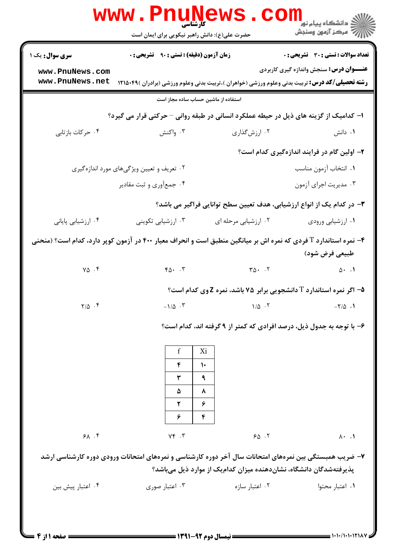|                                                                                                                                    | <b>WWW.PNUNEWS</b><br>کارشناسی<br>حضرت علی(ع): دانش راهبر نیکویی برای ایمان است                        |                                                              | ر دانشڪاه پيام نور ■<br>// مرکز آزمون وسنڊش                                                           |  |  |  |
|------------------------------------------------------------------------------------------------------------------------------------|--------------------------------------------------------------------------------------------------------|--------------------------------------------------------------|-------------------------------------------------------------------------------------------------------|--|--|--|
| <b>سری سوال :</b> یک ۱                                                                                                             | <b>زمان آزمون (دقیقه) : تستی : ۹۰ قشریحی : .</b>                                                       |                                                              | <b>تعداد سوالات : تستی : 30 ٪ تشریحی : 0</b>                                                          |  |  |  |
| www.PnuNews.com                                                                                                                    |                                                                                                        |                                                              | <b>عنـــوان درس:</b> سنجش واندازه گیری کاربردی                                                        |  |  |  |
| www.PnuNews.net                                                                                                                    |                                                                                                        |                                                              | <b>رشته تحصیلی/کد درس:</b> تربیت بدنی وعلوم ورزشی (خواهران )،تربیت بدنی وعلوم ورزشی (برادران )۴۹×۱۲۱۵ |  |  |  |
| استفاده از ماشین حساب ساده مجاز است                                                                                                |                                                                                                        |                                                              |                                                                                                       |  |  |  |
|                                                                                                                                    | ا- کدامیک از گزینه های ذیل در حیطه عملکرد انسانی در طبقه روانی – حرکتی قرار می گیرد؟                   |                                                              |                                                                                                       |  |  |  |
| ۰۴ حركات بازتابي                                                                                                                   | ۰۳ واکنش                                                                                               | ۰۲ ارزش گذاری                                                | ۰۱ دانش                                                                                               |  |  |  |
|                                                                                                                                    |                                                                                                        |                                                              | ۲- اولین گام در فرایند اندازهگیری کدام است؟                                                           |  |  |  |
|                                                                                                                                    | ۰۲ تعریف و تعیین ویژگیهای مورد اندازهگیری                                                              |                                                              | ٠١ انتخاب آزمون مناسب                                                                                 |  |  |  |
|                                                                                                                                    | ۰۴ جمع آوري و ثبت مقادير                                                                               |                                                              | ۰۳ مدیریت اجرای آزمون                                                                                 |  |  |  |
| ۳– در کدام یک از انواع ارزشیابی، هدف تعیین سطح توانایی فراگیر می باشد؟                                                             |                                                                                                        |                                                              |                                                                                                       |  |  |  |
| ۰۴ ارزشیابی پایانی                                                                                                                 | ۰۳ ارزشیابی تکوینی                                                                                     | ۰۲ ارزشیابی مرحله ای                                         | ۰۱ ارزشیابی ورودی                                                                                     |  |  |  |
| ۴– نمره استاندارد T فردی که نمره اش بر میانگین منطبق است و انحراف معیار ۴۰۰ در آزمون کوپر دارد، کدام است؟ (منحنی<br>طبیعی فرض شود) |                                                                                                        |                                                              |                                                                                                       |  |  |  |
| $Y\Delta$ .                                                                                                                        | $Y \wedge \cdot \cdot Y$                                                                               | $T\Delta$ . $T$                                              | $\Delta \cdot \cdot \cdot \cdot \mathbf{1}$                                                           |  |  |  |
|                                                                                                                                    |                                                                                                        |                                                              | <b>۵- اگر نمره استاندارد T دانشجویی برابر ۷۵ باشد، نمره Z وی کدام است؟</b>                            |  |  |  |
| $Y/\Delta$ .                                                                                                                       |                                                                                                        | $-\frac{1}{\Delta}$ . $\mathbf{r}$ $1/\Delta$ . $\mathbf{r}$ |                                                                                                       |  |  |  |
|                                                                                                                                    |                                                                                                        |                                                              | ۶- با توجه به جدول ذیل، درصد افرادی که کمتر از ۹ گرفته اند، کدام است؟                                 |  |  |  |
|                                                                                                                                    | f<br>Xi                                                                                                |                                                              |                                                                                                       |  |  |  |
|                                                                                                                                    | ۴<br>١٠                                                                                                |                                                              |                                                                                                       |  |  |  |
|                                                                                                                                    | ٣<br>٩                                                                                                 |                                                              |                                                                                                       |  |  |  |
|                                                                                                                                    | ۸<br>۵<br>۶<br>۲                                                                                       |                                                              |                                                                                                       |  |  |  |
|                                                                                                                                    | ۶<br>۴                                                                                                 |                                                              |                                                                                                       |  |  |  |
| 91.78                                                                                                                              | $Y \in \mathcal{X}$                                                                                    | 50.7                                                         | $\lambda \cdot \lambda$                                                                               |  |  |  |
|                                                                                                                                    | ۷– ضریب همبستگی بین نمرههای امتحانات سال آخر دوره کارشناسی و نمرههای امتحانات ورودی دوره کارشناسی ارشد |                                                              |                                                                                                       |  |  |  |
|                                                                                                                                    |                                                                                                        |                                                              | پذیرفتهشدگان دانشگاه، نشاندهنده میزان کدامیک از موارد ذیل میباشد؟                                     |  |  |  |
| ۰۴ اعتبار پیش بین                                                                                                                  | ۰۳ اعتبار صوری                                                                                         | ۰۲ اعتبار سازه                                               | ٠١. اعتبار محتوا                                                                                      |  |  |  |
|                                                                                                                                    |                                                                                                        |                                                              |                                                                                                       |  |  |  |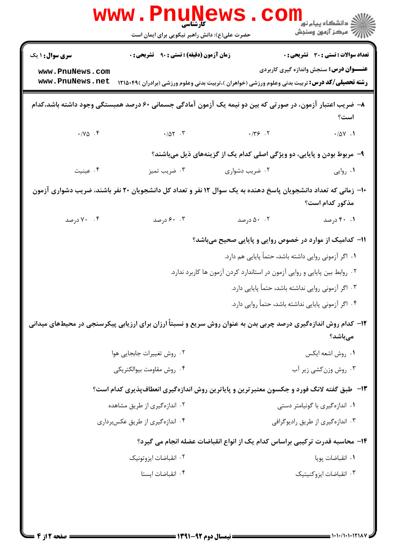|                                                                                                                                   | <b>WWW</b><br><b>کارشناسی</b><br>حضرت علی(ع): دانش راهبر نیکویی برای ایمان است                                                                            |                                                                            | ڪ دانشڪاه پيام نور ■<br>// مرکز آزمون وسنجش                                             |  |  |
|-----------------------------------------------------------------------------------------------------------------------------------|-----------------------------------------------------------------------------------------------------------------------------------------------------------|----------------------------------------------------------------------------|-----------------------------------------------------------------------------------------|--|--|
| <b>سری سوال : ۱ یک</b><br>www.PnuNews.com<br>www.PnuNews.net                                                                      | <b>زمان آزمون (دقیقه) : تستی : ۹۰ قشریحی : 0</b><br><b>رشته تحصیلی/کد درس:</b> تربیت بدنی وعلوم ورزشی (خواهران )،تربیت بدنی وعلوم ورزشی (برادران )۴۹×۱۲۱۵ |                                                                            | تعداد سوالات : تستى : 30 ٪ تشريحي : 0<br><b>عنـــوان درس:</b> سنجش واندازه گیری کاربردی |  |  |
| ۸– ضریب اعتبار آزمون، در صورتی که بین دو نیمه یک آزمون آمادگی جسمانی ۶۰ درصد همبستگی وجود داشته باشد،کدام<br>است؟                 |                                                                                                                                                           |                                                                            |                                                                                         |  |  |
| $\boldsymbol{\cdot} / \text{V}\boldsymbol{\Delta}$ . $\boldsymbol{\mathsf{F}}$                                                    | $\cdot/\Delta Y$ . T $\cdot$ $/Y$ $\cdot$ $/Y$ $\cdot$ $Y$                                                                                                |                                                                            | $\cdot/\Delta\mathsf{Y}$ . $\mathsf{V}$                                                 |  |  |
|                                                                                                                                   |                                                                                                                                                           | ۹- مربوط بودن و پایایی، دو ویژگی اصلی کدام یک از گزینههای ذیل میباشند؟     |                                                                                         |  |  |
| ۰۴ عینیت                                                                                                                          | ۰۳ ضریب تمیز                                                                                                                                              | ۰۲ ضریب دشواری                                                             | ۰۱ روایی                                                                                |  |  |
| +ا– زمانی که تعداد دانشجویان پاسخ دهنده به یک سوال ۱۲ نفر و تعداد کل دانشجویان ۲۰ نفر باشند، ضریب دشواری آزمون<br>مذکور کدام است؟ |                                                                                                                                                           |                                                                            |                                                                                         |  |  |
| ۰۴ درصد                                                                                                                           | ۰. ۶۰ درصد                                                                                                                                                | ۰.۲ درصد                                                                   | ۰.۱ ۴۰ درصد                                                                             |  |  |
|                                                                                                                                   |                                                                                                                                                           | ۱۱– کدامیک از موارد در خصوص روایی و پایایی صحیح میباشد؟                    |                                                                                         |  |  |
|                                                                                                                                   |                                                                                                                                                           | ۰۱ اگر آزمونی روایی داشته باشد، حتماً پایایی هم دارد.                      |                                                                                         |  |  |
|                                                                                                                                   |                                                                                                                                                           | ۰۲ روابط بین پایایی و روایی آزمون در استاندارد کردن آزمون ها کاربرد ندارد. |                                                                                         |  |  |
|                                                                                                                                   |                                                                                                                                                           |                                                                            | ۰۳ اگر آزمونی روایی نداشته باشد، حتماً پایایی دارد.                                     |  |  |
|                                                                                                                                   |                                                                                                                                                           |                                                                            | ۰۴ اگر آزمونی پایایی نداشته باشد، حتماً روایی دارد.                                     |  |  |
|                                                                                                                                   | ۱۲– کدام روش اندازهگیری درصد چربی بدن به عنوان روش سریع و نسبتاً ارزان برای ارزیابی پیکرسنجی در محیطهای میدانی                                            |                                                                            | مىباشد؟                                                                                 |  |  |
|                                                                                                                                   | ۰۲ روش تغییرات جابجایی هوا                                                                                                                                |                                                                            | ٠١ روش اشعه ايكس                                                                        |  |  |
|                                                                                                                                   | ۰۴ روش مقاومت بيوالكتريكي                                                                                                                                 |                                                                            | ۰۳ روش وزن کشی زیر آب                                                                   |  |  |
|                                                                                                                                   | ۱۳- طبق گفته لانگ فورد و جکسون معتبرترین و پایاترین روش اندازهگیری انعطافپذیری کدام است؟                                                                  |                                                                            |                                                                                         |  |  |
|                                                                                                                                   | ۰۲ اندازهگیری از طریق مشاهده                                                                                                                              |                                                                            | ۰۱ اندازهگیری با گونیامتر دستی                                                          |  |  |
|                                                                                                                                   | ۰۴ اندازهگیری از طریق عکسبرداری                                                                                                                           |                                                                            | ۰۳ اندازهگیری از طریق رادیوگرافی                                                        |  |  |
|                                                                                                                                   | ۱۴- محاسبه قدرت ترکیبی براساس کدام یک از انواع انقباضات عضله انجام می گیرد؟                                                                               |                                                                            |                                                                                         |  |  |
|                                                                                                                                   | ۰۲ انقباضات ایزوتونیک                                                                                                                                     |                                                                            | ٠١. انقباضات پويا                                                                       |  |  |
|                                                                                                                                   | ۰۴ انقباضات ایستا                                                                                                                                         |                                                                            | ۰۳ انقباضات ایزوکنیتیک                                                                  |  |  |
|                                                                                                                                   |                                                                                                                                                           |                                                                            |                                                                                         |  |  |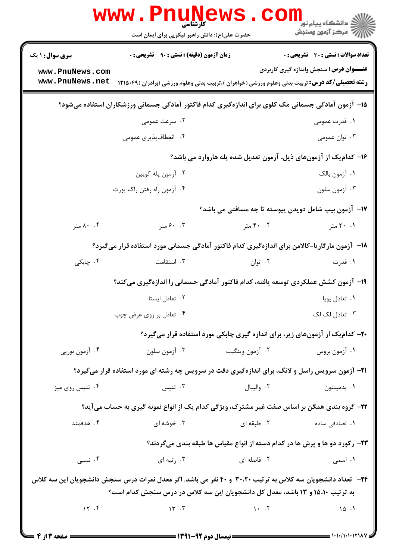|                                                                                                            | WWW.Pnung<br>حضرت علی(ع): دانش راهبر نیکویی برای ایمان است                                             |                                           | دانشگاه پیام نور<br>ایج دانشگاه پیام نور<br>ایج مرکز آزمون وسنجش                                                |  |  |
|------------------------------------------------------------------------------------------------------------|--------------------------------------------------------------------------------------------------------|-------------------------------------------|-----------------------------------------------------------------------------------------------------------------|--|--|
| <b>سری سوال : ۱ یک</b>                                                                                     | <b>زمان آزمون (دقیقه) : تستی : ۹۰٪ تشریحی : 0</b>                                                      |                                           | تعداد سوالات : تستى : 30 - تشريحي : 0                                                                           |  |  |
| www.PnuNews.com                                                                                            |                                                                                                        |                                           | <b>عنـــوان درس:</b> سنجش واندازه گیری کاربردی                                                                  |  |  |
| www.PnuNews.net                                                                                            | <b>رشته تحصیلی/کد درس:</b> تربیت بدنی وعلوم ورزشی (خواهران )،تربیت بدنی وعلوم ورزشی (برادران )۴۹×۱۲۱۵  |                                           |                                                                                                                 |  |  |
|                                                                                                            | ۱۵– آزمون آمادگی جسمانی مک کلوی برای اندازهگیری کدام فاکتور آمادگی جسمانی ورزشکاران استفاده میشود؟     |                                           |                                                                                                                 |  |  |
|                                                                                                            | ۰۲ سرعت عمومی                                                                                          |                                           | ١. قدرت عمومي                                                                                                   |  |  |
|                                                                                                            | ۰۴ انعطافپذیری عمومی                                                                                   |                                           | ۰۳ توان عمومی                                                                                                   |  |  |
|                                                                                                            |                                                                                                        |                                           | ۱۶– کدام یک از آزمونهای ذیل، آزمون تعدیل شده پله هاروارد می باشد؟                                               |  |  |
|                                                                                                            | ۰۲ آزمون پله کويين                                                                                     |                                           | ٠١. آزمون بالک                                                                                                  |  |  |
|                                                                                                            | ۰۴ آزمون راه رفتن راک پورت                                                                             |                                           | ۰۳ آزمون سلون                                                                                                   |  |  |
| 17- آزمون بیپ شامل دویدن پیوسته تا چه مسافتی می باشد؟                                                      |                                                                                                        |                                           |                                                                                                                 |  |  |
| ۰۰ ۸۰ متر                                                                                                  | ۰.۳ ۶۰ متر                                                                                             | ۰۲ متر                                    | ۰۱ ۲۰ متر                                                                                                       |  |  |
|                                                                                                            | ۱۸−۔ آزمون مارگاریا-کالامن برای اندازہگیری کدام فاکتور آمادگی جسمانی مورد استفادہ قرار میگیرد؟         |                                           |                                                                                                                 |  |  |
| ۰۴ چابکی                                                                                                   | ۰۳ استقامت                                                                                             | ۰۲ توان                                   | ۰۱ قدرت                                                                                                         |  |  |
|                                                                                                            | ۱۹- آزمون کشش عملکردی توسعه یافته، کدام فاکتور آمادگی جسمانی را اندازهگیری میکند؟                      |                                           |                                                                                                                 |  |  |
|                                                                                                            | ۰۲ تعادل ایستا                                                                                         |                                           | ٠١ تعادل پويا                                                                                                   |  |  |
|                                                                                                            | ۰۴ تعادل بر روی عرض چوب                                                                                |                                           | ۰۳ تعادل لک لک                                                                                                  |  |  |
|                                                                                                            | ۲۰- کدامیک از آزمونهای زیر، برای اندازه گیری چابکی مورد استفاده قرار میگیرد؟                           |                                           |                                                                                                                 |  |  |
| ۰۴ آزمون بورپي                                                                                             |                                                                                                        | ۰۲ آزمون وينگيت مسافت استان آزمون سلون ۲۰ | ۰۱ آزمون بروس                                                                                                   |  |  |
|                                                                                                            | <b>۲۱</b> - آزمون سرویس راسل و لانگ، برای اندازهگیری دقت در سرویس چه رشته ای مورد استفاده قرار میگیرد؟ |                                           |                                                                                                                 |  |  |
| ۰۴ تنيس روي ميز                                                                                            | تنيس $\cdot$ ۳                                                                                         | ۰۲ واليبال                                | ۰۱ بدمينتون                                                                                                     |  |  |
|                                                                                                            | ۲۲- گروه بندی همگن بر اساس صفت غیر مشترک، ویژگی کدام یک از انواع نمونه گیری به حساب میآید؟             |                                           |                                                                                                                 |  |  |
| ۰۴ هدفمند                                                                                                  |                                                                                                        |                                           | ۰۱ تصادفی ساده سال ۲۰ تصادفی ساده است و تصویر می شده ای می تصویر می کنیم از می کنیم که تصویر می کنیم که تصویر ک |  |  |
|                                                                                                            | ۲۳- رکورد دو ها و پرش ها در کدام دسته از انواع مقیاس ها طبقه بندی میگردند؟                             |                                           |                                                                                                                 |  |  |
| ۰۴ نسبی                                                                                                    | ۰۳ رتبه ای                                                                                             | ۰۲ فاصله ای                               | <b>۱.</b> اسمی                                                                                                  |  |  |
| ۲۴- تعداد دانشجویان سه کلاس به ترتیب ۳۰،۲۰ و ۴۰ نفر می باشد. اگر معدل نمرات درس سنجش دانشجویان این سه کلاس |                                                                                                        |                                           |                                                                                                                 |  |  |
| به ترتیب ۱۵،۱۰ و ۱۳ باشد، معدل کل دانشجویان این سه کلاس در درس سنجش کدام است؟                              |                                                                                                        |                                           |                                                                                                                 |  |  |
|                                                                                                            | 17.7                                                                                                   |                                           | $\sqrt{2}$ .                                                                                                    |  |  |
|                                                                                                            |                                                                                                        |                                           |                                                                                                                 |  |  |